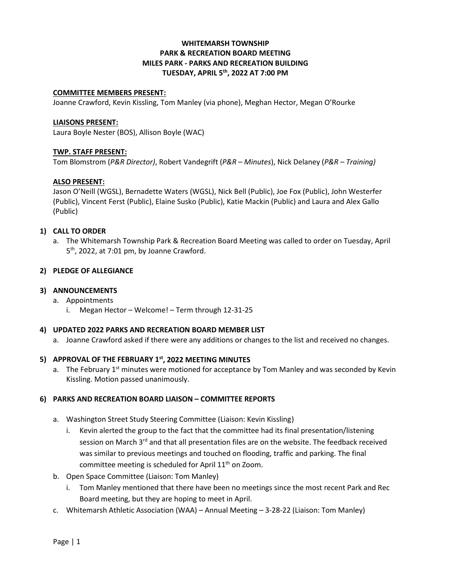# **WHITEMARSH TOWNSHIP PARK & RECREATION BOARD MEETING MILES PARK - PARKS AND RECREATION BUILDING TUESDAY, APRIL 5th, 2022 AT 7:00 PM**

#### **COMMITTEE MEMBERS PRESENT:**

Joanne Crawford, Kevin Kissling, Tom Manley (via phone), Meghan Hector, Megan O'Rourke

#### **LIAISONS PRESENT:**

Laura Boyle Nester (BOS), Allison Boyle (WAC)

# **TWP. STAFF PRESENT:**

Tom Blomstrom (*P&R Director)*, Robert Vandegrift (*P&R – Minutes*), Nick Delaney (*P&R – Training)*

# **ALSO PRESENT:**

Jason O'Neill (WGSL), Bernadette Waters (WGSL), Nick Bell (Public), Joe Fox (Public), John Westerfer (Public), Vincent Ferst (Public), Elaine Susko (Public), Katie Mackin (Public) and Laura and Alex Gallo (Public)

#### **1) CALL TO ORDER**

a. The Whitemarsh Township Park & Recreation Board Meeting was called to order on Tuesday, April 5th, 2022, at 7:01 pm, by Joanne Crawford.

#### **2) PLEDGE OF ALLEGIANCE**

#### **3) ANNOUNCEMENTS**

a. Appointments i. Megan Hector – Welcome! – Term through 12-31-25

#### **4) UPDATED 2022 PARKS AND RECREATION BOARD MEMBER LIST**

a. Joanne Crawford asked if there were any additions or changes to the list and received no changes.

# **5) APPROVAL OF THE FEBRUARY 1st, 2022 MEETING MINUTES**

a. The February  $1<sup>st</sup>$  minutes were motioned for acceptance by Tom Manley and was seconded by Kevin Kissling. Motion passed unanimously.

#### **6) PARKS AND RECREATION BOARD LIAISON – COMMITTEE REPORTS**

- a. Washington Street Study Steering Committee (Liaison: Kevin Kissling )
	- i. Kevin alerted the group to the fact that the committee had its final presentation/listening session on March 3<sup>rd</sup> and that all presentation files are on the website. The feedback received was similar to previous meetings and touched on flooding, traffic and parking. The final committee meeting is scheduled for April 11<sup>th</sup> on Zoom.
- b. Open Space Committee (Liaison: Tom Manley)
	- i. Tom Manley mentioned that there have been no meetings since the most recent Park and Rec Board meeting, but they are hoping to meet in April.
- c. Whitemarsh Athletic Association (WAA) Annual Meeting 3-28-22 (Liaison: Tom Manley)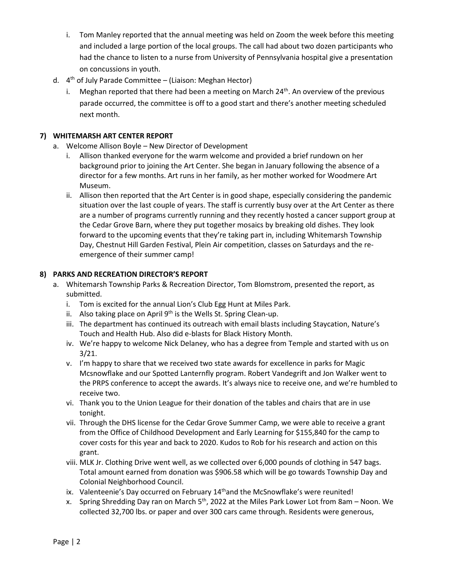- i. Tom Manley reported that the annual meeting was held on Zoom the week before this meeting and included a large portion of the local groups. The call had about two dozen participants who had the chance to listen to a nurse from University of Pennsylvania hospital give a presentation on concussions in youth.
- d.  $4<sup>th</sup>$  of July Parade Committee (Liaison: Meghan Hector)
	- i. Meghan reported that there had been a meeting on March  $24<sup>th</sup>$ . An overview of the previous parade occurred, the committee is off to a good start and there's another meeting scheduled next month.

# **7) WHITEMARSH ART CENTER REPORT**

- a. Welcome Allison Boyle New Director of Development
	- i. Allison thanked everyone for the warm welcome and provided a brief rundown on her background prior to joining the Art Center. She began in January following the absence of a director for a few months. Art runs in her family, as her mother worked for Woodmere Art Museum.
	- ii. Allison then reported that the Art Center is in good shape, especially considering the pandemic situation over the last couple of years. The staff is currently busy over at the Art Center as there are a number of programs currently running and they recently hosted a cancer support group at the Cedar Grove Barn, where they put together mosaics by breaking old dishes. They look forward to the upcoming events that they're taking part in, including Whitemarsh Township Day, Chestnut Hill Garden Festival, Plein Air competition, classes on Saturdays and the reemergence of their summer camp!

# **8) PARKS AND RECREATION DIRECTOR'S REPORT**

- a. Whitemarsh Township Parks & Recreation Director, Tom Blomstrom, presented the report, as submitted.
	- i. Tom is excited for the annual Lion's Club Egg Hunt at Miles Park.
	- ii. Also taking place on April  $9<sup>th</sup>$  is the Wells St. Spring Clean-up.
	- iii. The department has continued its outreach with email blasts including Staycation, Nature's Touch and Health Hub. Also did e-blasts for Black History Month.
	- iv. We're happy to welcome Nick Delaney, who has a degree from Temple and started with us on 3/21.
	- v. I'm happy to share that we received two state awards for excellence in parks for Magic Mcsnowflake and our Spotted Lanternfly program. Robert Vandegrift and Jon Walker went to the PRPS conference to accept the awards. It's always nice to receive one, and we're humbled to receive two.
	- vi. Thank you to the Union League for their donation of the tables and chairs that are in use tonight.
	- vii. Through the DHS license for the Cedar Grove Summer Camp, we were able to receive a grant from the Office of Childhood Development and Early Learning for \$155,840 for the camp to cover costs for this year and back to 2020. Kudos to Rob for his research and action on this grant.
	- viii. MLK Jr. Clothing Drive went well, as we collected over 6,000 pounds of clothing in 547 bags. Total amount earned from donation was \$906.58 which will be go towards Township Day and Colonial Neighborhood Council.
	- ix. Valenteenie's Day occurred on February  $14<sup>th</sup>$  and the McSnowflake's were reunited!
	- x. Spring Shredding Day ran on March  $5<sup>th</sup>$ , 2022 at the Miles Park Lower Lot from 8am Noon. We collected 32,700 lbs. or paper and over 300 cars came through. Residents were generous,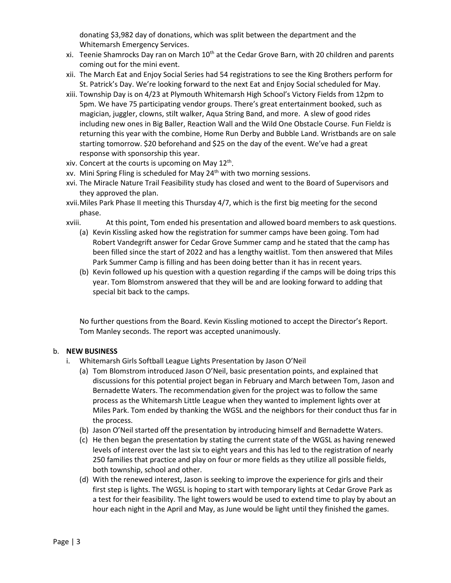donating \$3,982 day of donations, which was split between the department and the Whitemarsh Emergency Services.

- xi. Teenie Shamrocks Day ran on March 10<sup>th</sup> at the Cedar Grove Barn, with 20 children and parents coming out for the mini event.
- xii. The March Eat and Enjoy Social Series had 54 registrations to see the King Brothers perform for St. Patrick's Day. We're looking forward to the next Eat and Enjoy Social scheduled for May.
- xiii. Township Day is on 4/23 at Plymouth Whitemarsh High School's Victory Fields from 12pm to 5pm. We have 75 participating vendor groups. There's great entertainment booked, such as magician, juggler, clowns, stilt walker, Aqua String Band, and more. A slew of good rides including new ones in Big Baller, Reaction Wall and the Wild One Obstacle Course. Fun Fieldz is returning this year with the combine, Home Run Derby and Bubble Land. Wristbands are on sale starting tomorrow. \$20 beforehand and \$25 on the day of the event. We've had a great response with sponsorship this year.
- xiv. Concert at the courts is upcoming on May  $12<sup>th</sup>$ .
- xv. Mini Spring Fling is scheduled for May 24th with two morning sessions.
- xvi. The Miracle Nature Trail Feasibility study has closed and went to the Board of Supervisors and they approved the plan.
- xvii.Miles Park Phase II meeting this Thursday 4/7, which is the first big meeting for the second phase.
- xviii. At this point, Tom ended his presentation and allowed board members to ask questions.
	- (a) Kevin Kissling asked how the registration for summer camps have been going. Tom had Robert Vandegrift answer for Cedar Grove Summer camp and he stated that the camp has been filled since the start of 2022 and has a lengthy waitlist. Tom then answered that Miles Park Summer Camp is filling and has been doing better than it has in recent years.
	- (b) Kevin followed up his question with a question regarding if the camps will be doing trips this year. Tom Blomstrom answered that they will be and are looking forward to adding that special bit back to the camps.

No further questions from the Board. Kevin Kissling motioned to accept the Director's Report. Tom Manley seconds. The report was accepted unanimously.

# b. **NEW BUSINESS**

- i. Whitemarsh Girls Softball League Lights Presentation by Jason O'Neil
	- (a) Tom Blomstrom introduced Jason O'Neil, basic presentation points, and explained that discussions for this potential project began in February and March between Tom, Jason and Bernadette Waters. The recommendation given for the project was to follow the same process as the Whitemarsh Little League when they wanted to implement lights over at Miles Park. Tom ended by thanking the WGSL and the neighbors for their conduct thus far in the process.
	- (b) Jason O'Neil started off the presentation by introducing himself and Bernadette Waters.
	- (c) He then began the presentation by stating the current state of the WGSL as having renewed levels of interest over the last six to eight years and this has led to the registration of nearly 250 families that practice and play on four or more fields as they utilize all possible fields, both township, school and other.
	- (d) With the renewed interest, Jason is seeking to improve the experience for girls and their first step is lights. The WGSL is hoping to start with temporary lights at Cedar Grove Park as a test for their feasibility. The light towers would be used to extend time to play by about an hour each night in the April and May, as June would be light until they finished the games.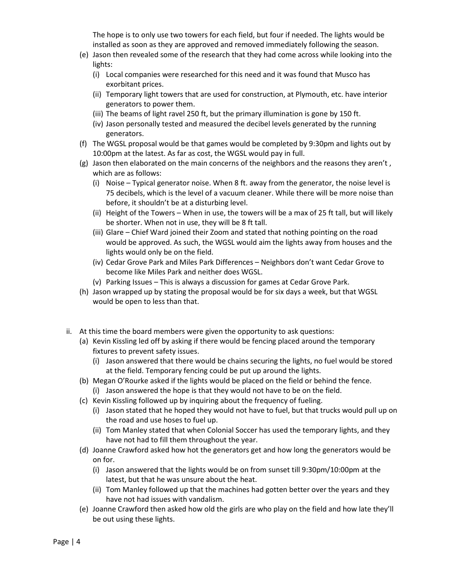The hope is to only use two towers for each field, but four if needed. The lights would be installed as soon as they are approved and removed immediately following the season.

- (e) Jason then revealed some of the research that they had come across while looking into the lights:
	- (i) Local companies were researched for this need and it was found that Musco has exorbitant prices.
	- (ii) Temporary light towers that are used for construction, at Plymouth, etc. have interior generators to power them.
	- (iii) The beams of light ravel 250 ft, but the primary illumination is gone by 150 ft.
	- (iv) Jason personally tested and measured the decibel levels generated by the running generators.
- (f) The WGSL proposal would be that games would be completed by 9:30pm and lights out by 10:00pm at the latest. As far as cost, the WGSL would pay in full.
- (g) Jason then elaborated on the main concerns of the neighbors and the reasons they aren't , which are as follows:
	- (i) Noise Typical generator noise. When 8 ft. away from the generator, the noise level is 75 decibels, which is the level of a vacuum cleaner. While there will be more noise than before, it shouldn't be at a disturbing level.
	- (ii) Height of the Towers When in use, the towers will be a max of 25 ft tall, but will likely be shorter. When not in use, they will be 8 ft tall.
	- (iii) Glare Chief Ward joined their Zoom and stated that nothing pointing on the road would be approved. As such, the WGSL would aim the lights away from houses and the lights would only be on the field.
	- (iv) Cedar Grove Park and Miles Park Differences Neighbors don't want Cedar Grove to become like Miles Park and neither does WGSL.
	- (v) Parking Issues This is always a discussion for games at Cedar Grove Park.
- (h) Jason wrapped up by stating the proposal would be for six days a week, but that WGSL would be open to less than that.
- ii. At this time the board members were given the opportunity to ask questions:
	- (a) Kevin Kissling led off by asking if there would be fencing placed around the temporary fixtures to prevent safety issues.
		- (i) Jason answered that there would be chains securing the lights, no fuel would be stored at the field. Temporary fencing could be put up around the lights.
	- (b) Megan O'Rourke asked if the lights would be placed on the field or behind the fence.
		- (i) Jason answered the hope is that they would not have to be on the field.
	- (c) Kevin Kissling followed up by inquiring about the frequency of fueling.
		- (i) Jason stated that he hoped they would not have to fuel, but that trucks would pull up on the road and use hoses to fuel up.
		- (ii) Tom Manley stated that when Colonial Soccer has used the temporary lights, and they have not had to fill them throughout the year.
	- (d) Joanne Crawford asked how hot the generators get and how long the generators would be on for.
		- (i) Jason answered that the lights would be on from sunset till 9:30pm/10:00pm at the latest, but that he was unsure about the heat.
		- (ii) Tom Manley followed up that the machines had gotten better over the years and they have not had issues with vandalism.
	- (e) Joanne Crawford then asked how old the girls are who play on the field and how late they'll be out using these lights.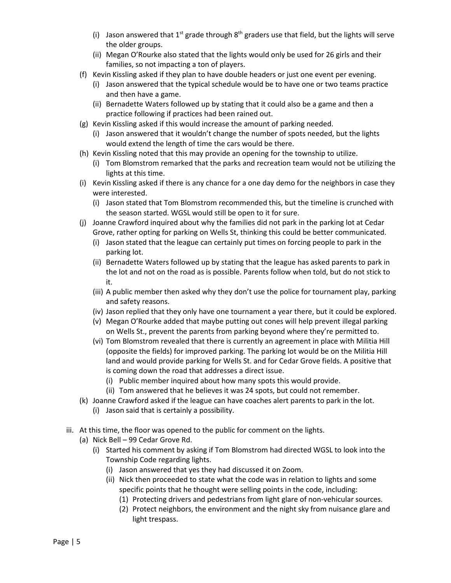- (i) Jason answered that 1<sup>st</sup> grade through 8<sup>th</sup> graders use that field, but the lights will serve the older groups.
- (ii) Megan O'Rourke also stated that the lights would only be used for 26 girls and their families, so not impacting a ton of players.
- (f) Kevin Kissling asked if they plan to have double headers or just one event per evening.
	- (i) Jason answered that the typical schedule would be to have one or two teams practice and then have a game.
	- (ii) Bernadette Waters followed up by stating that it could also be a game and then a practice following if practices had been rained out.
- (g) Kevin Kissling asked if this would increase the amount of parking needed.
	- (i) Jason answered that it wouldn't change the number of spots needed, but the lights would extend the length of time the cars would be there.
- (h) Kevin Kissling noted that this may provide an opening for the township to utilize.
	- (i) Tom Blomstrom remarked that the parks and recreation team would not be utilizing the lights at this time.
- (i) Kevin Kissling asked if there is any chance for a one day demo for the neighbors in case they were interested.
	- (i) Jason stated that Tom Blomstrom recommended this, but the timeline is crunched with the season started. WGSL would still be open to it for sure.
- (j) Joanne Crawford inquired about why the families did not park in the parking lot at Cedar Grove, rather opting for parking on Wells St, thinking this could be better communicated.
	- (i) Jason stated that the league can certainly put times on forcing people to park in the parking lot.
	- (ii) Bernadette Waters followed up by stating that the league has asked parents to park in the lot and not on the road as is possible. Parents follow when told, but do not stick to it.
	- (iii) A public member then asked why they don't use the police for tournament play, parking and safety reasons.
	- (iv) Jason replied that they only have one tournament a year there, but it could be explored.
	- (v) Megan O'Rourke added that maybe putting out cones will help prevent illegal parking on Wells St., prevent the parents from parking beyond where they're permitted to.
	- (vi) Tom Blomstrom revealed that there is currently an agreement in place with Militia Hill (opposite the fields) for improved parking. The parking lot would be on the Militia Hill land and would provide parking for Wells St. and for Cedar Grove fields. A positive that is coming down the road that addresses a direct issue.
		- (i) Public member inquired about how many spots this would provide.
		- (ii) Tom answered that he believes it was 24 spots, but could not remember.
- (k) Joanne Crawford asked if the league can have coaches alert parents to park in the lot.
	- (i) Jason said that is certainly a possibility.
- iii. At this time, the floor was opened to the public for comment on the lights.
	- (a) Nick Bell 99 Cedar Grove Rd.
		- (i) Started his comment by asking if Tom Blomstrom had directed WGSL to look into the Township Code regarding lights.
			- (i) Jason answered that yes they had discussed it on Zoom.
			- (ii) Nick then proceeded to state what the code was in relation to lights and some specific points that he thought were selling points in the code, including:
				- (1) Protecting drivers and pedestrians from light glare of non-vehicular sources.
				- (2) Protect neighbors, the environment and the night sky from nuisance glare and light trespass.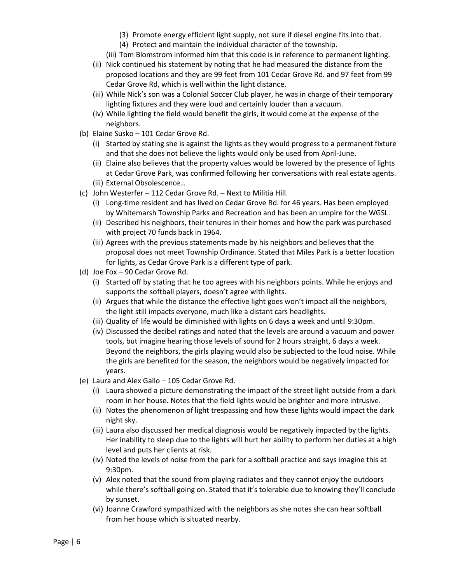- (3) Promote energy efficient light supply, not sure if diesel engine fits into that.
- (4) Protect and maintain the individual character of the township.
- (iii) Tom Blomstrom informed him that this code is in reference to permanent lighting.
- (ii) Nick continued his statement by noting that he had measured the distance from the proposed locations and they are 99 feet from 101 Cedar Grove Rd. and 97 feet from 99 Cedar Grove Rd, which is well within the light distance.
- (iii) While Nick's son was a Colonial Soccer Club player, he was in charge of their temporary lighting fixtures and they were loud and certainly louder than a vacuum.
- (iv) While lighting the field would benefit the girls, it would come at the expense of the neighbors.
- (b) Elaine Susko 101 Cedar Grove Rd.
	- (i) Started by stating she is against the lights as they would progress to a permanent fixture and that she does not believe the lights would only be used from April-June.
	- (ii) Elaine also believes that the property values would be lowered by the presence of lights at Cedar Grove Park, was confirmed following her conversations with real estate agents. (iii) External Obsolescence…
- (c) John Westerfer 112 Cedar Grove Rd. Next to Militia Hill.
	- (i) Long-time resident and has lived on Cedar Grove Rd. for 46 years. Has been employed by Whitemarsh Township Parks and Recreation and has been an umpire for the WGSL.
	- (ii) Described his neighbors, their tenures in their homes and how the park was purchased with project 70 funds back in 1964.
	- (iii) Agrees with the previous statements made by his neighbors and believes that the proposal does not meet Township Ordinance. Stated that Miles Park is a better location for lights, as Cedar Grove Park is a different type of park.
- (d) Joe Fox 90 Cedar Grove Rd.
	- (i) Started off by stating that he too agrees with his neighbors points. While he enjoys and supports the softball players, doesn't agree with lights.
	- (ii) Argues that while the distance the effective light goes won't impact all the neighbors, the light still impacts everyone, much like a distant cars headlights.
	- (iii) Quality of life would be diminished with lights on 6 days a week and until 9:30pm.
	- (iv) Discussed the decibel ratings and noted that the levels are around a vacuum and power tools, but imagine hearing those levels of sound for 2 hours straight, 6 days a week. Beyond the neighbors, the girls playing would also be subjected to the loud noise. While the girls are benefited for the season, the neighbors would be negatively impacted for years.
- (e) Laura and Alex Gallo 105 Cedar Grove Rd.
	- (i) Laura showed a picture demonstrating the impact of the street light outside from a dark room in her house. Notes that the field lights would be brighter and more intrusive.
	- (ii) Notes the phenomenon of light trespassing and how these lights would impact the dark night sky.
	- (iii) Laura also discussed her medical diagnosis would be negatively impacted by the lights. Her inability to sleep due to the lights will hurt her ability to perform her duties at a high level and puts her clients at risk.
	- (iv) Noted the levels of noise from the park for a softball practice and says imagine this at 9:30pm.
	- (v) Alex noted that the sound from playing radiates and they cannot enjoy the outdoors while there's softball going on. Stated that it's tolerable due to knowing they'll conclude by sunset.
	- (vi) Joanne Crawford sympathized with the neighbors as she notes she can hear softball from her house which is situated nearby.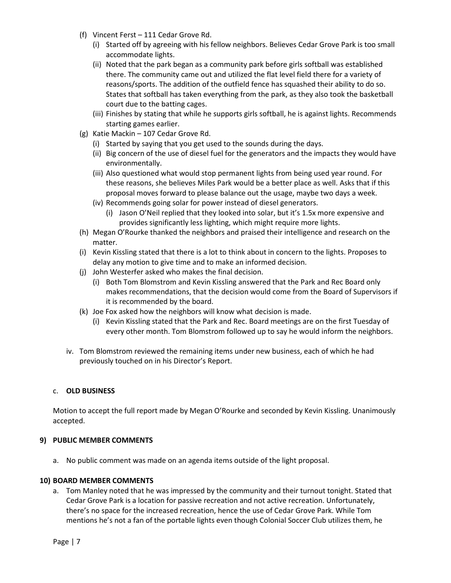- (f) Vincent Ferst 111 Cedar Grove Rd.
	- (i) Started off by agreeing with his fellow neighbors. Believes Cedar Grove Park is too small accommodate lights.
	- (ii) Noted that the park began as a community park before girls softball was established there. The community came out and utilized the flat level field there for a variety of reasons/sports. The addition of the outfield fence has squashed their ability to do so. States that softball has taken everything from the park, as they also took the basketball court due to the batting cages.
	- (iii) Finishes by stating that while he supports girls softball, he is against lights. Recommends starting games earlier.
- (g) Katie Mackin 107 Cedar Grove Rd.
	- (i) Started by saying that you get used to the sounds during the days.
	- (ii) Big concern of the use of diesel fuel for the generators and the impacts they would have environmentally.
	- (iii) Also questioned what would stop permanent lights from being used year round. For these reasons, she believes Miles Park would be a better place as well. Asks that if this proposal moves forward to please balance out the usage, maybe two days a week.
	- (iv) Recommends going solar for power instead of diesel generators.
		- (i) Jason O'Neil replied that they looked into solar, but it's 1.5x more expensive and provides significantly less lighting, which might require more lights.
- (h) Megan O'Rourke thanked the neighbors and praised their intelligence and research on the matter.
- (i) Kevin Kissling stated that there is a lot to think about in concern to the lights. Proposes to delay any motion to give time and to make an informed decision.
- (j) John Westerfer asked who makes the final decision.
	- (i) Both Tom Blomstrom and Kevin Kissling answered that the Park and Rec Board only makes recommendations, that the decision would come from the Board of Supervisors if it is recommended by the board.
- (k) Joe Fox asked how the neighbors will know what decision is made.
	- (i) Kevin Kissling stated that the Park and Rec. Board meetings are on the first Tuesday of every other month. Tom Blomstrom followed up to say he would inform the neighbors.
- iv. Tom Blomstrom reviewed the remaining items under new business, each of which he had previously touched on in his Director's Report.

# c. **OLD BUSINESS**

Motion to accept the full report made by Megan O'Rourke and seconded by Kevin Kissling. Unanimously accepted.

# **9) PUBLIC MEMBER COMMENTS**

a. No public comment was made on an agenda items outside of the light proposal.

# **10) BOARD MEMBER COMMENTS**

a. Tom Manley noted that he was impressed by the community and their turnout tonight. Stated that Cedar Grove Park is a location for passive recreation and not active recreation. Unfortunately, there's no space for the increased recreation, hence the use of Cedar Grove Park. While Tom mentions he's not a fan of the portable lights even though Colonial Soccer Club utilizes them, he